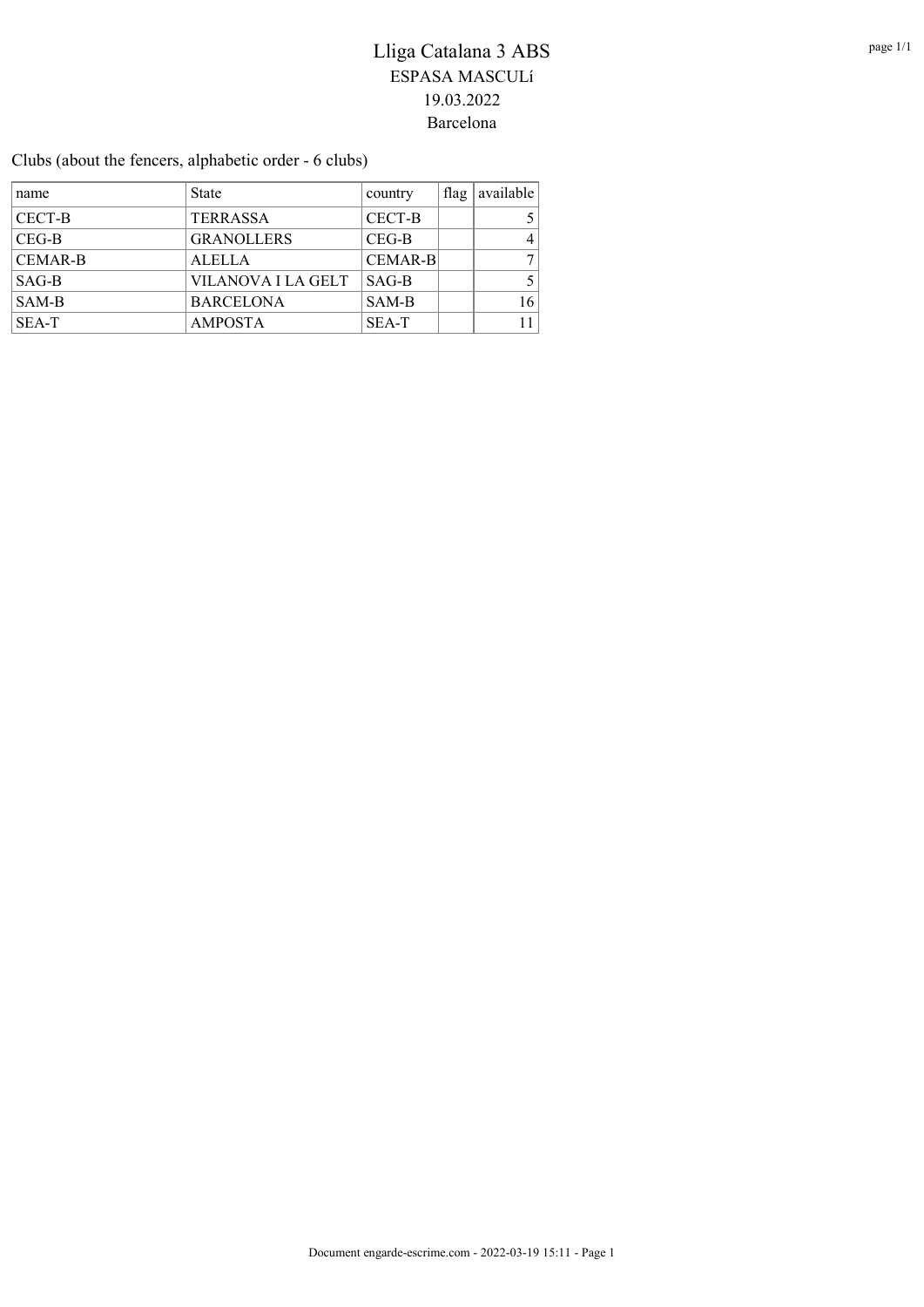Clubs (about the fencers, alphabetic order - 6 clubs)

| name           | <b>State</b>       | country        | $\int$ flag | available      |
|----------------|--------------------|----------------|-------------|----------------|
| CECT-B         | <b>TERRASSA</b>    | CECT-B         |             | 5 <sup>1</sup> |
| $CEG-B$        | <b>GRANOLLERS</b>  | $CEG-B$        |             | 4              |
| <b>CEMAR-B</b> | <b>ALELLA</b>      | <b>CEMAR-B</b> |             | 7              |
| $SAG-B$        | VILANOVA I LA GELT | $SAG-B$        |             | 5.             |
| SAM-B          | <b>BARCELONA</b>   | SAM-B          |             | 16             |
| SEA-T          | <b>AMPOSTA</b>     | SEA-T          |             | 11             |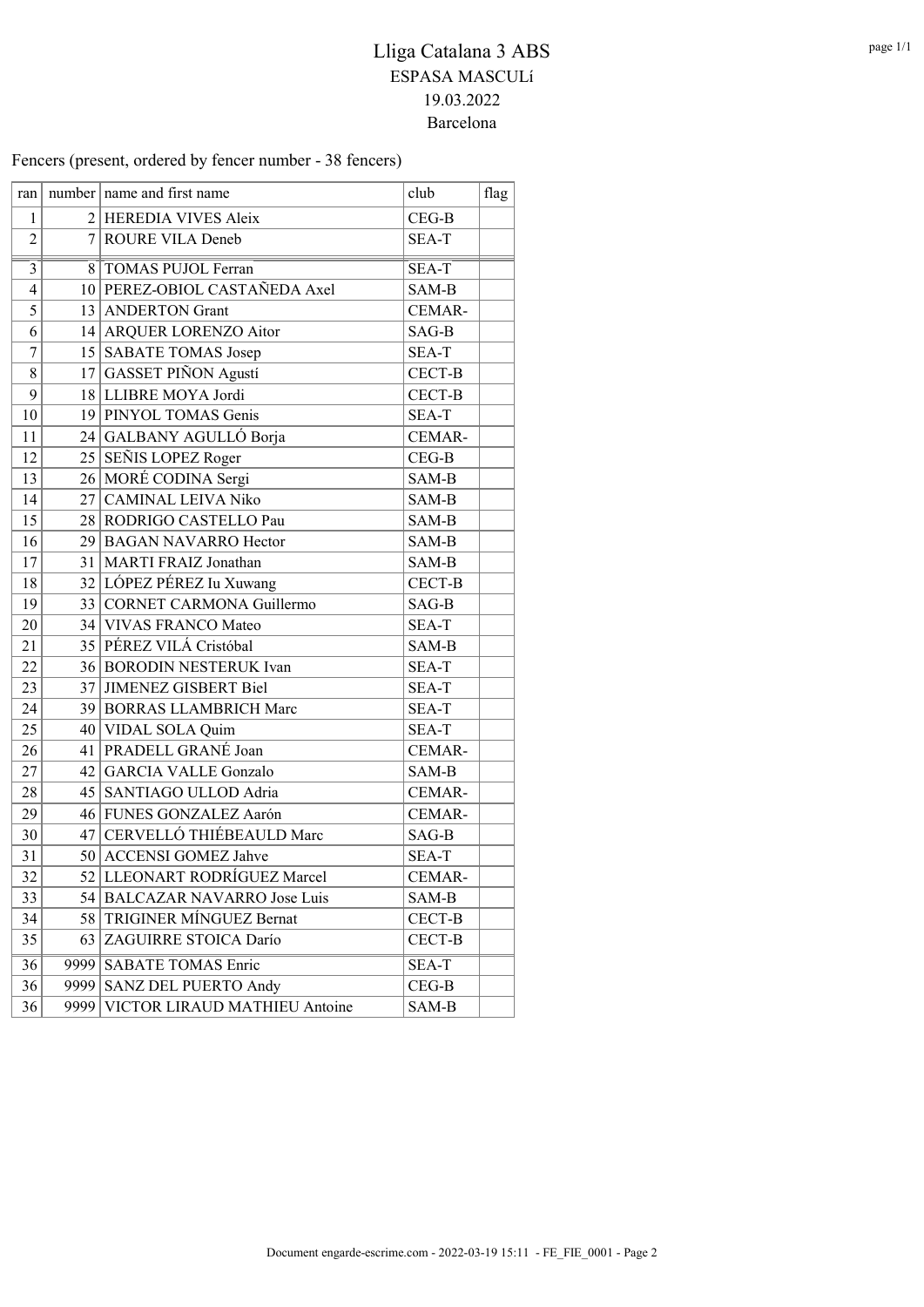Fencers (present, ordered by fencer number - 38 fencers)

| ran            |      | number   name and first name      | club    | flag |
|----------------|------|-----------------------------------|---------|------|
| 1              |      | 2 HEREDIA VIVES Aleix             | $CEG-B$ |      |
| $\overline{2}$ |      | 7 ROURE VILA Deneb                | SEA-T   |      |
| $\overline{3}$ | 8    | <b>TOMAS PUJOL Ferran</b>         | SEA-T   |      |
| $\overline{4}$ |      | 10 PEREZ-OBIOL CASTAÑEDA Axel     | SAM-B   |      |
| 5              |      | 13 ANDERTON Grant                 | CEMAR-  |      |
| 6              |      | 14 ARQUER LORENZO Aitor           | SAG-B   |      |
| $\overline{7}$ |      | 15 SABATE TOMAS Josep             | SEA-T   |      |
| 8              | 17   | <b>GASSET PIÑON Agustí</b>        | CECT-B  |      |
| 9              |      | 18 LLIBRE MOYA Jordi              | CECT-B  |      |
| 10             |      | 19 PINYOL TOMAS Genis             | SEA-T   |      |
| 11             |      | 24 GALBANY AGULLÓ Borja           | CEMAR-  |      |
| 12             |      | 25 SEÑIS LOPEZ Roger              | $CEG-B$ |      |
| 13             |      | 26 MORÉ CODINA Sergi              | SAM-B   |      |
| 14             | 27   | <b>CAMINAL LEIVA Niko</b>         | SAM-B   |      |
| 15             |      | 28 RODRIGO CASTELLO Pau           | SAM-B   |      |
| 16             |      | 29 BAGAN NAVARRO Hector           | SAM-B   |      |
| 17             | 31   | MARTI FRAIZ Jonathan              | SAM-B   |      |
| 18             |      | 32 LÓPEZ PÉREZ Iu Xuwang          | CECT-B  |      |
| 19             |      | 33 CORNET CARMONA Guillermo       | SAG-B   |      |
| 20             |      | 34 VIVAS FRANCO Mateo             | SEA-T   |      |
| 21             |      | 35 PÉREZ VILÁ Cristóbal           | SAM-B   |      |
| 22             |      | 36 BORODIN NESTERUK Ivan          | SEA-T   |      |
| 23             |      | 37 JIMENEZ GISBERT Biel           | SEA-T   |      |
| 24             |      | 39 BORRAS LLAMBRICH Marc          | SEA-T   |      |
| 25             |      | 40 VIDAL SOLA Quim                | SEA-T   |      |
| 26             |      | 41 PRADELL GRANÉ Joan             | CEMAR-  |      |
| 27             | 42   | <b>GARCIA VALLE Gonzalo</b>       | SAM-B   |      |
| 28             |      | 45 SANTIAGO ULLOD Adria           | CEMAR-  |      |
| 29             |      | 46 FUNES GONZALEZ Aarón           | CEMAR-  |      |
| 30             | 47   | CERVELLÓ THIÉBEAULD Marc          | SAG-B   |      |
| 31             |      | 50 ACCENSI GOMEZ Jahve            | SEA-T   |      |
| 32             |      | 52 LLEONART RODRÍGUEZ Marcel      | CEMAR-  |      |
| 33             | 54   | <b>BALCAZAR NAVARRO Jose Luis</b> | SAM-B   |      |
| 34             | 58   | TRIGINER MÍNGUEZ Bernat           | CECT-B  |      |
| 35             | 63   | ZAGUIRRE STOICA Darío             | CECT-B  |      |
| 36             | 9999 | <b>SABATE TOMAS Enric</b>         | SEA-T   |      |
| 36             | 9999 | SANZ DEL PUERTO Andy              | $CEG-B$ |      |
| 36             | 9999 | VICTOR LIRAUD MATHIEU Antoine     | SAM-B   |      |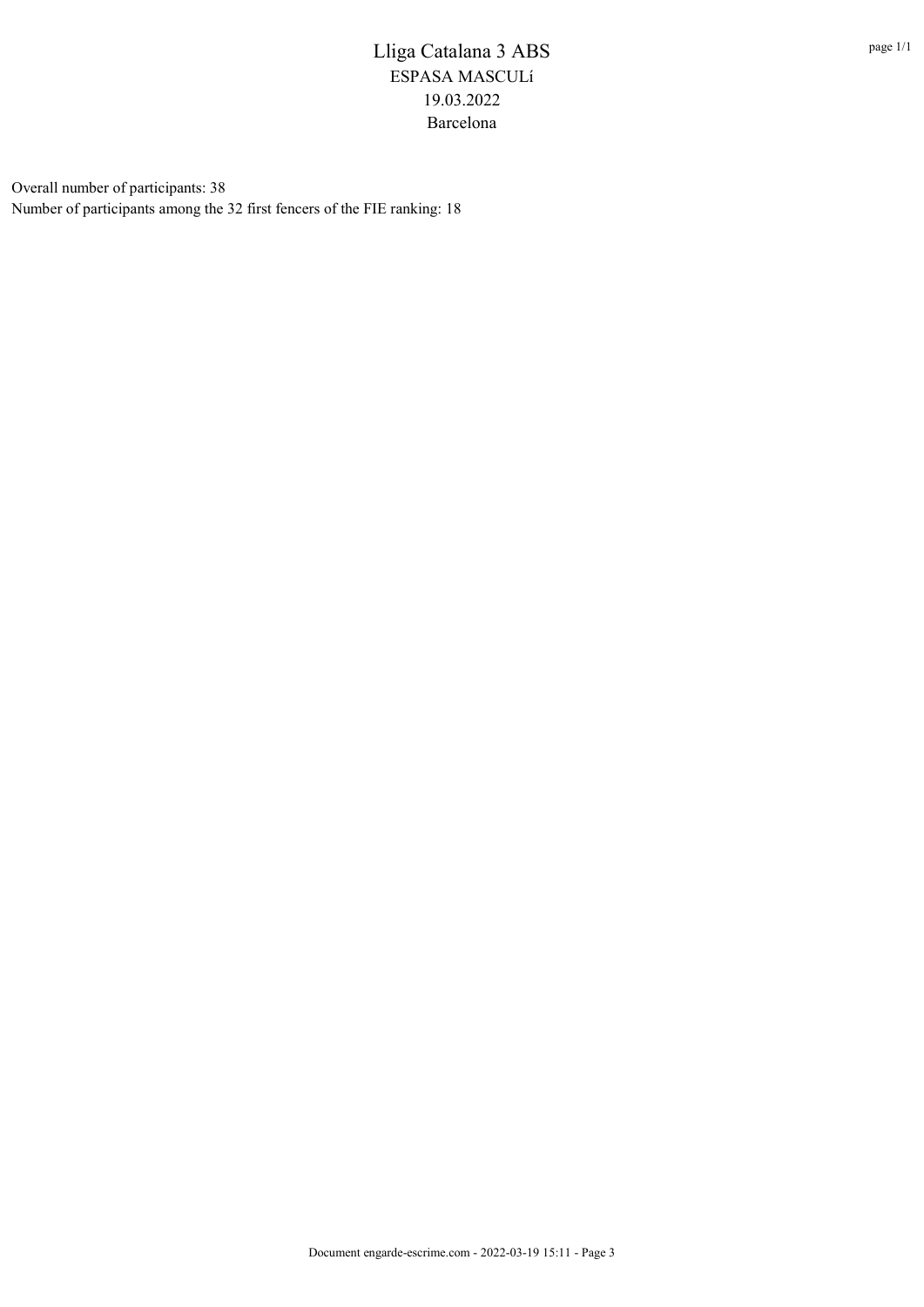Overall number of participants: 38 Number of participants among the 32 first fencers of the FIE ranking: 18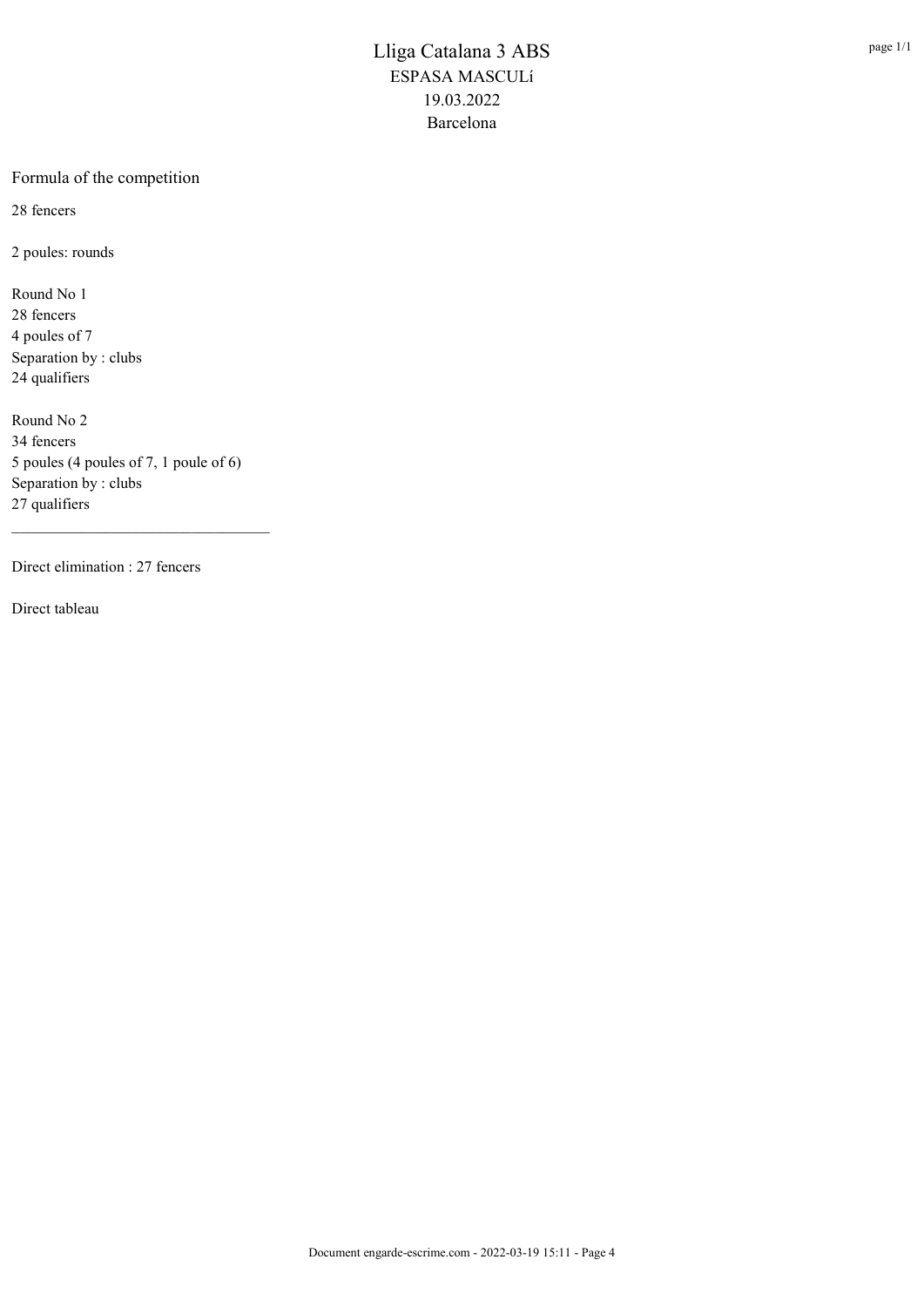### Formula of the competition

28 fencers

2 poules: rounds

Round No 1 28 fencers 4 poules of 7 Separation by : clubs 24 qualifiers

Round No 2 34 fencers 5 poules (4 poules of 7, 1 poule of 6) Separation by : clubs 27 qualifiers

Direct elimination : 27 fencers

Direct tableau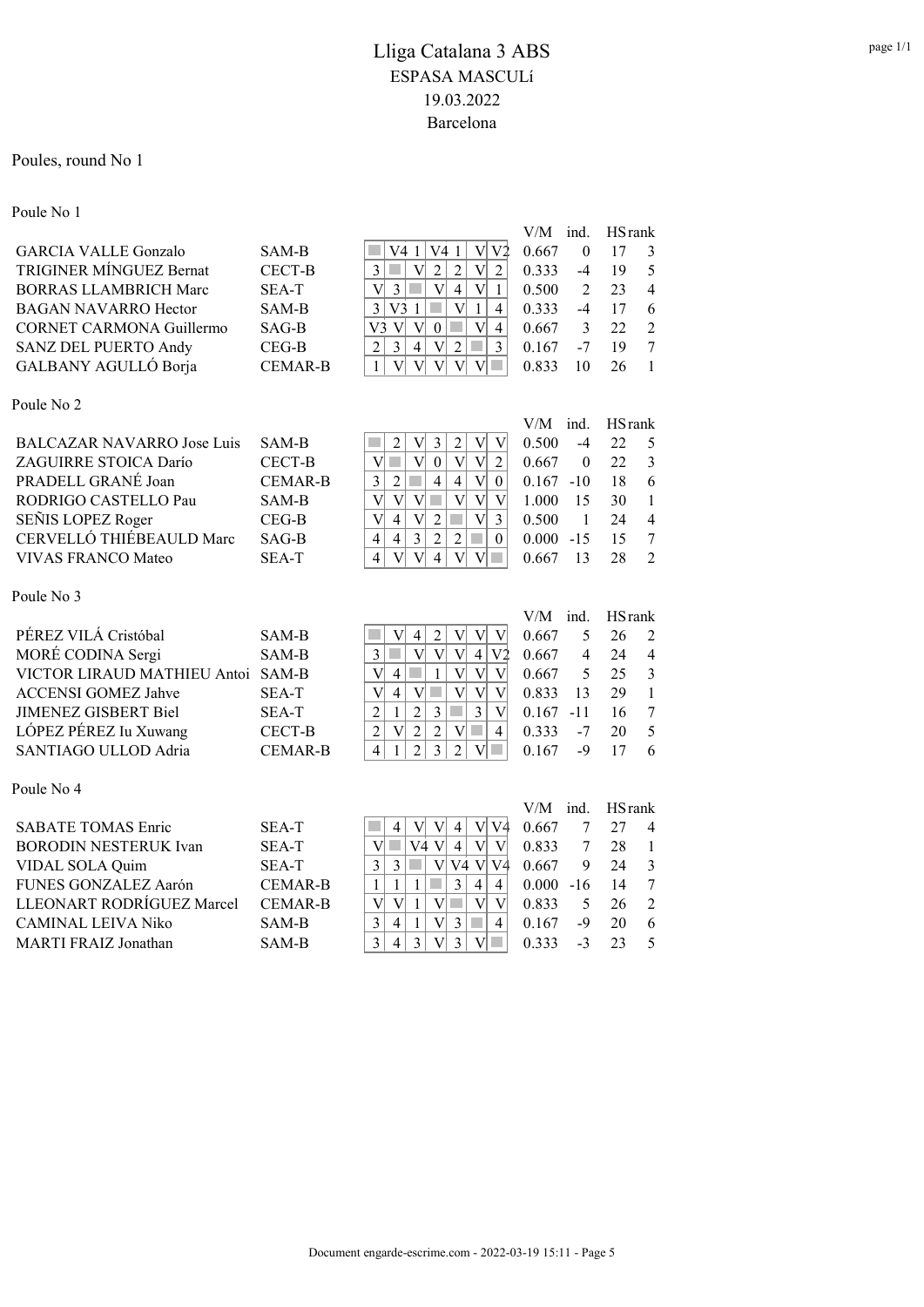### Poules, round No 1

| Poule No 1                        |                |                                                                                                                                                                                      |              |                |                |                  |
|-----------------------------------|----------------|--------------------------------------------------------------------------------------------------------------------------------------------------------------------------------------|--------------|----------------|----------------|------------------|
|                                   |                |                                                                                                                                                                                      | V/M          | ind.           | <b>HS</b> rank |                  |
| <b>GARCIA VALLE Gonzalo</b>       | SAM-B          | V41<br>V <sub>2</sub><br>V41<br>$\mathbf{V}$                                                                                                                                         | 0.667        | $\theta$       | 17             | 3                |
| <b>TRIGINER MÍNGUEZ Bernat</b>    | <b>CECT-B</b>  | $\overline{2}$<br>3<br>$\overline{\mathsf{V}}$<br>$\overline{2}$<br>$\overline{\mathsf{V}}$<br>$\overline{2}$<br>$\mathcal{L}_{\mathcal{A}}$                                         | 0.333        | $-4$           | 19             | 5                |
| <b>BORRAS LLAMBRICH Marc</b>      | <b>SEA-T</b>   | $\overline{3}$<br>$\overline{\mathsf{V}}$<br>$\overline{4}$<br>$\overline{\mathsf{V}}$<br>$\overline{\mathsf{V}}$<br>$\mathcal{L}_{\mathcal{A}}$<br>$\mathbf{1}$                     | 0.500        | $\overline{2}$ | 23             | $\overline{4}$   |
| <b>BAGAN NAVARRO Hector</b>       | SAM-B          | $\overline{3}$<br>$\overline{\mathbf{V}}$<br>V31<br><b>T</b><br>$\mathbf{1}$<br>$\overline{4}$                                                                                       | 0.333        | $-4$           | 17             | 6                |
| <b>CORNET CARMONA Guillermo</b>   | SAG-B          | V <br>V <sub>3</sub><br>$\mathbf{V}$<br>$\mathbf{0}$<br>$\overline{\mathsf{V}}$<br>4                                                                                                 | 0.667        | 3              | 22             | $\overline{2}$   |
| <b>SANZ DEL PUERTO Andy</b>       | $CEG-B$        | $\overline{2}$<br>$\overline{3}$<br>$\overline{4}$<br>$\overline{\mathsf{V}}$<br>$\overline{2}$<br>$\overline{3}$                                                                    | 0.167        | $-7$           | 19             | $\overline{7}$   |
| GALBANY AGULLÓ Borja              | <b>CEMAR-B</b> | $\overline{\mathsf{V}}$<br>$\mathbf{1}$<br>$\overline{V}$<br>$\overline{\mathsf{V}}$<br>V<br>V<br>×.                                                                                 | 0.833        | 10             | 26             | $\mathbf{1}$     |
| Poule No 2                        |                |                                                                                                                                                                                      |              |                |                |                  |
|                                   |                |                                                                                                                                                                                      | $V/M$ ind.   |                | <b>HS</b> rank |                  |
| <b>BALCAZAR NAVARRO Jose Luis</b> | SAM-B          | $\overline{\mathsf{V}}$<br>$\overline{3}$<br>$\overline{2}$<br>$\mathbf{V}$<br>$\overline{c}$<br>V                                                                                   | 0.500        | $-4$           | 22             | 5                |
| ZAGUIRRE STOICA Darío             | CECT-B         | $\overline{\mathsf{V}}$<br>$\overline{\mathsf{V}}$<br>$\overline{0}$<br>$\overline{\mathsf{V}}$<br>$\overline{\mathsf{V}}$<br>F<br>$\overline{2}$                                    | 0.667        | $\theta$       | 22             | $\overline{3}$   |
| PRADELL GRANÉ Joan                | <b>CEMAR-B</b> | $\mathcal{C}^{\mathcal{A}}$<br>$\overline{\mathsf{V}}$<br>$\overline{2}$<br>$\overline{4}$<br>$\overline{4}$<br>$\mathfrak{Z}$<br>$\boldsymbol{0}$                                   | 0.167        | $-10$          | 18             | 6                |
| RODRIGO CASTELLO Pau              | SAM-B          | $\overline{\mathbf{V}}$<br>$\overline{\mathbf{V}}$<br>$\mathcal{L}_{\mathcal{A}}$<br>$\overline{\mathsf{V}}$<br>$\overline{\mathsf{V}}$<br>$\overline{\mathsf{V}}$<br>$\overline{V}$ | 1.000        | 15             | 30             | 1                |
| SEÑIS LOPEZ Roger                 | $CEG-B$        | $\overline{\mathsf{V}}$<br>$\overline{2}$<br>$\overline{V}$<br>$\overline{4}$<br>$\overline{\mathsf{V}}$<br>3                                                                        | 0.500        | $\mathbf{1}$   | 24             | $\overline{4}$   |
| CERVELLÓ THIÉBEAULD Marc          | $SAG-B$        | $\overline{3}$<br>$\overline{2}$<br>$\overline{4}$<br>$\overline{2}$<br>$\overline{4}$<br>$\theta$                                                                                   | 0.000        | $-15$          | 15             | $\boldsymbol{7}$ |
| <b>VIVAS FRANCO Mateo</b>         | SEA-T          | $\overline{4}$<br>$\overline{V}$<br>$\overline{4}$<br>V<br>$\overline{\mathsf{V}}$<br>V<br>e i                                                                                       | 0.667        | 13             | 28             | $\overline{2}$   |
| Poule No 3                        |                |                                                                                                                                                                                      |              |                |                |                  |
|                                   |                |                                                                                                                                                                                      | V/M          | ind.           | <b>HS</b> rank |                  |
| PÉREZ VILÁ Cristóbal              | SAM-B          | $\overline{\mathsf{V}}$<br>$\overline{c}$<br>$\mathbf V$<br>$\rm{V}$<br>$\overline{4}$<br>V                                                                                          | 0.667        | 5              | 26             | $\overline{2}$   |
| MORÉ CODINA Sergi                 | SAM-B          | $\overline{4}$<br>$_{\rm V2}$<br>$\overline{\mathsf{V}}$<br>$\overline{\mathbf{V}}$<br>$\overline{3}$<br>$\overline{\mathbf{V}}$<br><b>T</b><br>$\mathcal{L}_{\mathcal{A}}$          | 0.667        | $\overline{4}$ | 24             | $\overline{4}$   |
| VICTOR LIRAUD MATHIEU Antoi       | SAM-B          | $\mathbf{1}$<br>$\overline{\mathsf{V}}$<br>$\overline{\mathsf{V}}$<br>$\overline{\mathsf{V}}$<br>$\overline{4}$<br>$\mathbf V$                                                       | 0.667        | 5              | 25             | $\mathfrak{Z}$   |
| <b>ACCENSI GOMEZ Jahve</b>        | SEA-T          | $\overline{\mathbf{V}}$<br><b>T</b><br>$\overline{\mathsf{V}}$<br>$\overline{\mathsf{V}}$<br>$\overline{4}$<br>$\overline{\mathsf{V}}$<br>$\overline{\mathsf{V}}$                    | 0.833        | 13             | 29             | $\mathbf{1}$     |
| <b>JIMENEZ GISBERT Biel</b>       | SEA-T          | $\overline{2}$<br>$\overline{3}$<br>3<br>$\overline{2}$<br>$\overline{V}$<br>$\mathbf{1}$                                                                                            | $0.167 - 11$ |                | 16             | $\boldsymbol{7}$ |
| LÓPEZ PÉREZ Iu Xuwang             | <b>CECT-B</b>  | $\overline{c}$<br>$\overline{2}$<br>$\overline{\mathsf{V}}$<br>$\overline{c}$<br>$\overline{\mathsf{V}}$<br>$\overline{4}$                                                           | 0.333        | $-7$           | 20             | 5                |
| SANTIAGO ULLOD Adria              | <b>CEMAR-B</b> | $\overline{2}$<br>$\overline{3}$<br>$\overline{2}$<br>$\overline{4}$<br>$\mathbf{1}$<br>m.<br>V                                                                                      | 0.167        | $-9$           | 17             | 6                |
| Poule No 4                        |                |                                                                                                                                                                                      |              |                |                |                  |
|                                   |                |                                                                                                                                                                                      | V/M          | ind.           | <b>HS</b> rank |                  |
| <b>SABATE TOMAS Enric</b>         | <b>SEA-T</b>   | $\rm{V}$<br>$\mathbf{V}$<br>V <sup>4</sup><br>V<br>$\overline{4}$<br>$\overline{4}$                                                                                                  | 0.667        | 7              | 27             | 4                |
| <b>BORODIN NESTERUK Ivan</b>      | SEA-T          | V4V<br>$\rm{V}$<br>$\overline{\mathsf{V}}$<br>T.<br>$\overline{4}$<br>$\mathbf{V}$                                                                                                   | 0.833        | 7              | 28             | $\mathbf{1}$     |
| VIDAL SOLA Quim                   | SEA-T          | T.<br>$\overline{\mathsf{V}}$<br>V4V<br>$\overline{3}$<br>V4<br>$\overline{3}$                                                                                                       | 0.667        | 9              | 24             | $\mathfrak{Z}$   |
| FUNES GONZALEZ Aarón              | <b>CEMAR-B</b> | $\overline{3}$<br>$\mathbf{1}$<br>$\overline{4}$<br>$\mathbf{1}$<br>$\mathbf{1}$<br>$\overline{\mathcal{A}}$                                                                         | 0.000        | $-16$          | 14             | $\boldsymbol{7}$ |
| LLEONART RODRÍGUEZ Marcel         | <b>CEMAR-B</b> | $\overline{V}$<br>$\overline{V}$<br><b>T</b><br>$\overline{\mathsf{V}}$<br>$\mathbf{V}$<br>$\mathbf{1}$<br>V                                                                         | 0.833        | 5              | 26             | $\overline{2}$   |
| <b>CAMINAL LEIVA Niko</b>         | SAM-B          | $\overline{3}$<br>3<br>$\overline{4}$<br>$\mathbf{1}$<br>V<br>$\mathcal{L}_{\mathcal{A}}$<br>$\overline{4}$                                                                          | 0.167        | $-9$           | 20             | 6                |
| MARTI FRAIZ Jonathan              | SAM-B          | $\overline{3}$<br>$\overline{3}$<br>$\overline{V}$<br>$\overline{3}$<br>V<br>4<br>$\mathcal{A}$                                                                                      | 0.333        | $-3$           | 23             | 5                |
|                                   |                |                                                                                                                                                                                      |              |                |                |                  |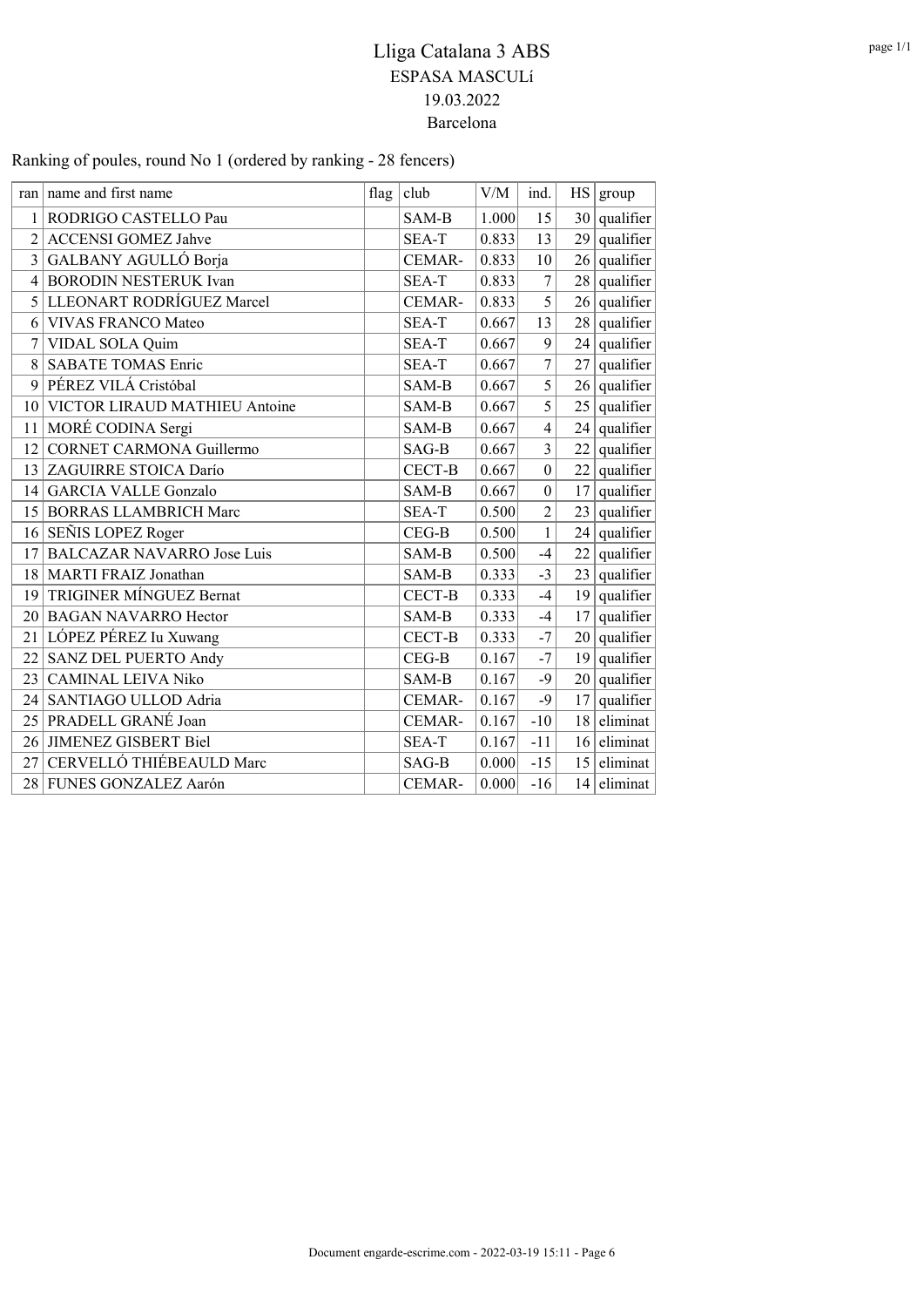Ranking of poules, round No 1 (ordered by ranking - 28 fencers)

|                | ran   name and first name         | flag $ $ club | V/M   | ind.             | HS              | group          |
|----------------|-----------------------------------|---------------|-------|------------------|-----------------|----------------|
| 1              | RODRIGO CASTELLO Pau              | SAM-B         | 1.000 | 15               | 30 <sup>2</sup> | qualifier      |
| $\overline{2}$ | <b>ACCENSI GOMEZ Jahve</b>        | SEA-T         | 0.833 | 13               | 29              | qualifier      |
| 3              | GALBANY AGULLÓ Borja              | CEMAR-        | 0.833 | 10               | 26              | qualifier      |
| 4              | <b>BORODIN NESTERUK Ivan</b>      | SEA-T         | 0.833 | $\overline{7}$   | 28              | qualifier      |
| 5              | LLEONART RODRÍGUEZ Marcel         | <b>CEMAR-</b> | 0.833 | 5                |                 | $26$ qualifier |
| 6              | <b>VIVAS FRANCO Mateo</b>         | SEA-T         | 0.667 | 13               |                 | $28$ qualifier |
| 7              | VIDAL SOLA Quim                   | SEA-T         | 0.667 | 9                | 24              | qualifier      |
| 8              | <b>SABATE TOMAS Enric</b>         | SEA-T         | 0.667 | $\overline{7}$   | 27              | qualifier      |
| 9              | PÉREZ VILÁ Cristóbal              | SAM-B         | 0.667 | 5                |                 | $26$ qualifier |
| 10             | VICTOR LIRAUD MATHIEU Antoine     | SAM-B         | 0.667 | 5                |                 | $25$ qualifier |
| 11             | MORÉ CODINA Sergi                 | SAM-B         | 0.667 | $\overline{4}$   | 24              | qualifier      |
| 12             | <b>CORNET CARMONA Guillermo</b>   | SAG-B         | 0.667 | $\overline{3}$   | 22              | qualifier      |
| 13             | ZAGUIRRE STOICA Darío             | CECT-B        | 0.667 | $\boldsymbol{0}$ |                 | $22$ qualifier |
| 14             | <b>GARCIA VALLE Gonzalo</b>       | SAM-B         | 0.667 | $\boldsymbol{0}$ | 17              | qualifier      |
| 15             | <b>BORRAS LLAMBRICH Marc</b>      | SEA-T         | 0.500 | $\overline{2}$   | 23              | qualifier      |
| 16             | SEÑIS LOPEZ Roger                 | $CEG-B$       | 0.500 | $\mathbf{1}$     |                 | $24$ qualifier |
| 17             | <b>BALCAZAR NAVARRO Jose Luis</b> | SAM-B         | 0.500 | $-4$             | 22              | qualifier      |
| 18             | MARTI FRAIZ Jonathan              | SAM-B         | 0.333 | $-3$             | 23              | qualifier      |
| 19             | TRIGINER MÍNGUEZ Bernat           | CECT-B        | 0.333 | $-4$             | $19$            | qualifier      |
| 20             | <b>BAGAN NAVARRO Hector</b>       | SAM-B         | 0.333 | $-4$             | 17 <sup>1</sup> | qualifier      |
| 21             | LÓPEZ PÉREZ Iu Xuwang             | <b>CECT-B</b> | 0.333 | $-7$             |                 | $20$ qualifier |
| 22             | SANZ DEL PUERTO Andy              | $CEG-B$       | 0.167 | $-7$             | 19              | qualifier      |
| 23             | <b>CAMINAL LEIVA Niko</b>         | SAM-B         | 0.167 | $-9$             |                 | $20$ qualifier |
| 24             | SANTIAGO ULLOD Adria              | CEMAR-        | 0.167 | $-9$             | 17 <sup>1</sup> | qualifier      |
| 25             | PRADELL GRANÉ Joan                | CEMAR-        | 0.167 | $-10$            | 18              | eliminat       |
| 26             | JIMENEZ GISBERT Biel              | SEA-T         | 0.167 | $-11$            | 16              | eliminat       |
| 27             | CERVELLÓ THIÉBEAULD Marc          | $SAG-B$       | 0.000 | $-15$            | 15              | eliminat       |
| 28             | <b>FUNES GONZALEZ Aarón</b>       | CEMAR-        | 0.000 | $-16$            | 14              | eliminat       |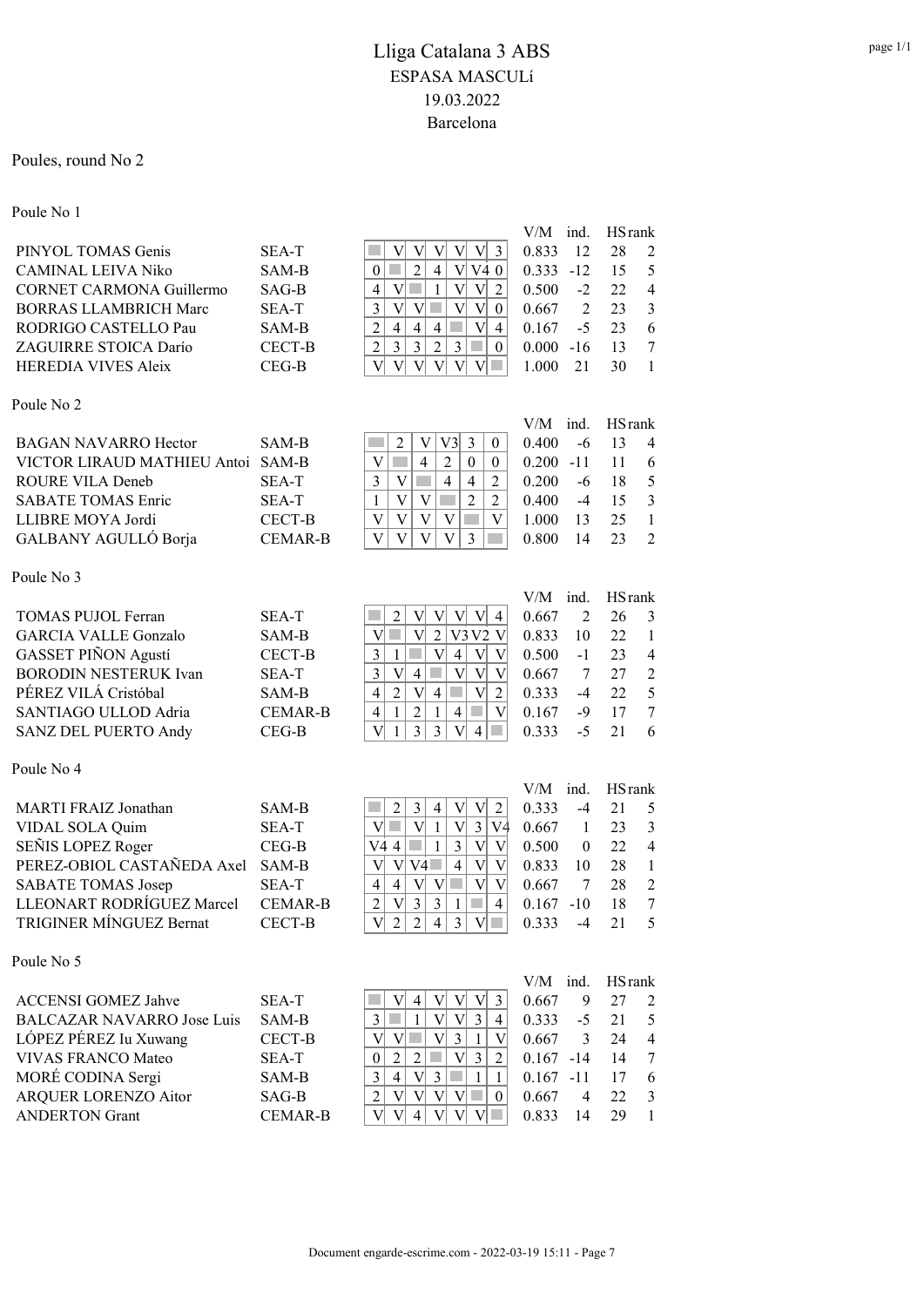#### Poules, round No 2

### Poule No 1 V/M ind. HSrank PINYOL TOMAS Genis SEA-T  $\boxed{\parallel V \parallel V \parallel V \parallel 3}$  0.833 12 28 2 CAMINAL LEIVA Niko SAM-B  $|0| = |2| + |1| + |2| + |0| = 0.333 -12 = 15 = 5$ CORNET CARMONA Guillermo SAG-B 4 V 1 V V 2 0.500 -2 22 4 BORRAS LLAMBRICH Marc SEA-T 3 V V V V 0 0.667 2 23 3 RODRIGO CASTELLO Pau SAM-B  $|2|4|4|4| = |V|4|$  0.167 -5 23 6 ZAGUIRRE STOICA Darío CECT-B  $|2|3|3|2|3| = |0|0.000 -16 \t13 \t7$ HEREDIA VIVES Aleix CEG-B  $|V| \vee |V| \vee |V| \vee |V| = 1.000213011$ Poule No 2 V/M ind. HSrank BAGAN NAVARRO Hector SAM-B  $\left|\right| 2 \left| \right| \left| \right| 3 \left| 0 \right| 0.400 \left| 6 \right| 13 \left| 40 \right|$ VICTOR LIRAUD MATHIEU Antoi SAM-B  $|V| = 4 2 0 0 0$ . 0.200 -11 11 6 ROURE VILA Deneb SEA-T  $3 \mid V \mid 4 \mid 4 \mid 2 \mid 0.200$  -6 18 5 SABATE TOMAS Enric SEA-T 1 V V 2 2 0.400 -4 15 3 LLIBRE MOYA Jordi CECT-B  $|V|V|V|V| = |V|$  1.000 13 25 1 GALBANY AGULLÓ Borja CEMAR-B  $V | V | V | V | 3$  0.800 14 23 2 Poule No 3 V/M ind. HSrank TOMAS PUJOL Ferran SEA-T 2 V V V V 4 0.667 2 26 3 GARCIA VALLE Gonzalo SAM-B  $|V|| = |V| 2 |V3 V2 V | 0.833 10 22 1$ GASSET PIÑON Agustí CECT-B 3 1 V 4 V V 0.500 -1 23 4 BORODIN NESTERUK Ivan SEA-T 3 V 4 V V V 0.667 7 27 2 PÉREZ VILÁ Cristóbal SAM-B 4 2 V 4 V 2 0.333 -4 22 5 SANTIAGO ULLOD Adria CEMAR-B 4 1 2 1 4 V 0.167 -9 17 7 SANZ DEL PUERTO Andy CEG-B  $|V| 1 | 3 | 3 | V | 4 | 0.333 - 5 21 6$ Poule No 4 V/M ind. HSrank MARTI FRAIZ Jonathan SAM-B  $\left|\frac{3}{2}\right|$  3 4 V V 2 0.333 -4 21 5 VIDAL SOLA Quim SEA-T  $V \cup 1 \cup 3 \cup 4$  0.667 1 23 3<br>SEÑIS LOPEZ Roger CEG-B  $V44 \cup 13 \cup V$  0.500 0 22 4 SEÑIS LOPEZ Roger CEG-B  $|V4 \, 4| = |1| \, 3 |V| \, V | 0.500 \, 0 \, 22 \, 4$ PEREZ-OBIOL CASTAÑEDA Axel SAM-B  $|V| \vee |V| = |4| |V| = 0.833 \quad 10 \quad 28 \quad 1$ SABATE TOMAS Josep SEA-T 4 4 V V V V 0.667 7 28 2 LLEONART RODRÍGUEZ Marcel CEMAR-B  $\left| 2 \right|$  V  $\left| 3 \right|$  3  $\left| 1 \right|$  4 0.167 -10 18 7 TRIGINER MÍNGUEZ Bernat CECT-B  $|V||2||2||4||3||V|| ||0.333 -4 21 5$ Poule No 5 V/M ind. HSrank ACCENSI GOMEZ Jahve SEA-T  $\parallel \parallel \parallel \parallel 4 \parallel \parallel \parallel \parallel 3 \parallel 0.667$  9 27 2 BALCAZAR NAVARRO Jose Luis SAM-B 3 1 V V 3 4 0.333 -5 21 5 LÓPEZ PÉREZ Iu Xuwang CECT-B  $|V| |V| = |V| |3 | 1 |V| 0.667 3 24 4$ VIVAS FRANCO Mateo SEA-T  $|0|2|2|1|$  V 3 | 2 | 0.167 -14 14 7 MORÉ CODINA Sergi SAM-B  $3 \mid 4 \mid V \mid 3 \mid 1 \mid 1 \mid 0.167 -11 \mid 17 \mid 6$ ARQUER LORENZO Aitor SAG-B 2 V V V V 0 0.667 4 22 3 ANDERTON Grant CEMAR-B  $|V| V | 4 | V | V | W | 0.833 \t14 \t29 \t1$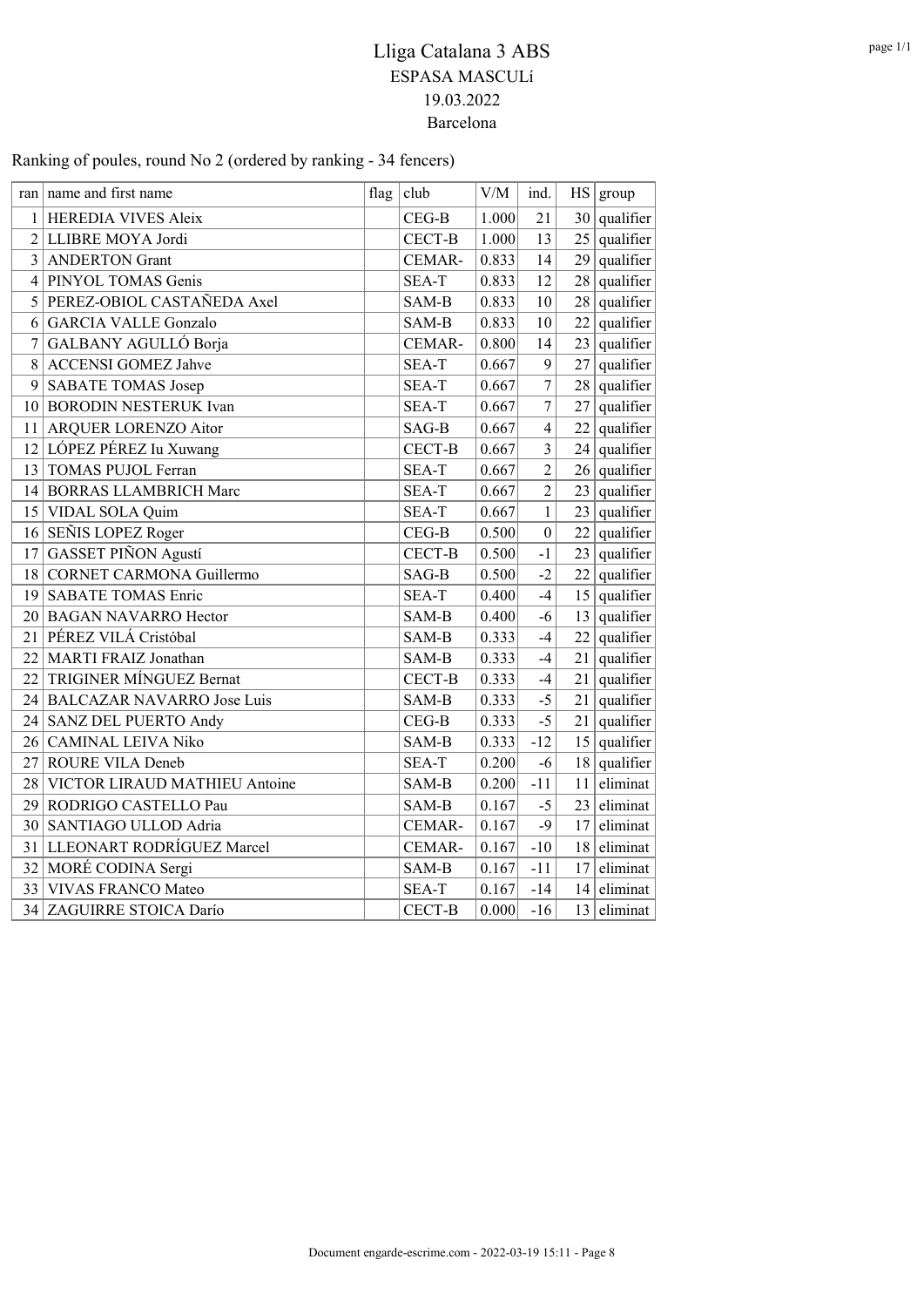Ranking of poules, round No 2 (ordered by ranking - 34 fencers)

|                | ran name and first name           | flag | club          | V/M   | ind.                     | HS | group          |
|----------------|-----------------------------------|------|---------------|-------|--------------------------|----|----------------|
| 1              | HEREDIA VIVES Aleix               |      | $CEG-B$       | 1.000 | 21                       | 30 | qualifier      |
| $\overline{2}$ | LLIBRE MOYA Jordi                 |      | <b>CECT-B</b> | 1.000 | 13                       | 25 | qualifier      |
| 3              | <b>ANDERTON Grant</b>             |      | CEMAR-        | 0.833 | 14                       | 29 | qualifier      |
| 4              | PINYOL TOMAS Genis                |      | SEA-T         | 0.833 | 12                       | 28 | qualifier      |
| 5              | PEREZ-OBIOL CASTAÑEDA Axel        |      | SAM-B         | 0.833 | 10                       | 28 | qualifier      |
| 6              | <b>GARCIA VALLE Gonzalo</b>       |      | SAM-B         | 0.833 | 10                       | 22 | qualifier      |
| 7              | GALBANY AGULLÓ Borja              |      | CEMAR-        | 0.800 | 14                       | 23 | qualifier      |
| 8              | <b>ACCENSI GOMEZ Jahve</b>        |      | SEA-T         | 0.667 | 9                        | 27 | qualifier      |
| 9              | SABATE TOMAS Josep                |      | SEA-T         | 0.667 | $\boldsymbol{7}$         | 28 | qualifier      |
| 10             | <b>BORODIN NESTERUK Ivan</b>      |      | SEA-T         | 0.667 | 7                        | 27 | qualifier      |
| 11             | <b>ARQUER LORENZO Aitor</b>       |      | SAG-B         | 0.667 | $\overline{\mathcal{L}}$ | 22 | qualifier      |
| 12             | LÓPEZ PÉREZ Iu Xuwang             |      | <b>CECT-B</b> | 0.667 | $\overline{3}$           | 24 | qualifier      |
| 13             | <b>TOMAS PUJOL Ferran</b>         |      | SEA-T         | 0.667 | $\overline{2}$           |    | $26$ qualifier |
| 14             | <b>BORRAS LLAMBRICH Marc</b>      |      | SEA-T         | 0.667 | $\overline{2}$           | 23 | qualifier      |
| 15             | VIDAL SOLA Quim                   |      | SEA-T         | 0.667 | $\mathbf{1}$             | 23 | qualifier      |
| 16             | SEÑIS LOPEZ Roger                 |      | $CEG-B$       | 0.500 | $\boldsymbol{0}$         | 22 | qualifier      |
| 17             | <b>GASSET PIÑON Agustí</b>        |      | CECT-B        | 0.500 | $-1$                     | 23 | qualifier      |
| 18             | <b>CORNET CARMONA Guillermo</b>   |      | SAG-B         | 0.500 | $-2$                     | 22 | qualifier      |
| 19             | <b>SABATE TOMAS Enric</b>         |      | SEA-T         | 0.400 | $-4$                     | 15 | qualifier      |
| 20             | <b>BAGAN NAVARRO Hector</b>       |      | SAM-B         | 0.400 | $-6$                     | 13 | qualifier      |
| 21             | PÉREZ VILÁ Cristóbal              |      | SAM-B         | 0.333 | $-4$                     | 22 | qualifier      |
| 22             | MARTI FRAIZ Jonathan              |      | SAM-B         | 0.333 | $-4$                     | 21 | qualifier      |
| 22             | TRIGINER MÍNGUEZ Bernat           |      | CECT-B        | 0.333 | $-4$                     | 21 | qualifier      |
| 24             | <b>BALCAZAR NAVARRO Jose Luis</b> |      | SAM-B         | 0.333 | $-5$                     | 21 | qualifier      |
| 24             | SANZ DEL PUERTO Andy              |      | $CEG-B$       | 0.333 | $-5$                     | 21 | qualifier      |
| 26             | <b>CAMINAL LEIVA Niko</b>         |      | SAM-B         | 0.333 | $-12$                    | 15 | qualifier      |
| 27             | ROURE VILA Deneb                  |      | SEA-T         | 0.200 | $-6$                     | 18 | qualifier      |
| 28             | VICTOR LIRAUD MATHIEU Antoine     |      | SAM-B         | 0.200 | $-11$                    | 11 | eliminat       |
| 29             | RODRIGO CASTELLO Pau              |      | SAM-B         | 0.167 | $-5$                     | 23 | eliminat       |
| 30             | SANTIAGO ULLOD Adria              |      | CEMAR-        | 0.167 | $-9$                     | 17 | eliminat       |
| 31             | LLEONART RODRÍGUEZ Marcel         |      | CEMAR-        | 0.167 | $-10$                    | 18 | eliminat       |
|                | 32 MORÉ CODINA Sergi              |      | SAM-B         | 0.167 | $-11$                    | 17 | eliminat       |
| 33             | <b>VIVAS FRANCO Mateo</b>         |      | SEA-T         | 0.167 | $-14$                    | 14 | eliminat       |
| 34             | ZAGUIRRE STOICA Darío             |      | CECT-B        | 0.000 | $-16$                    | 13 | eliminat       |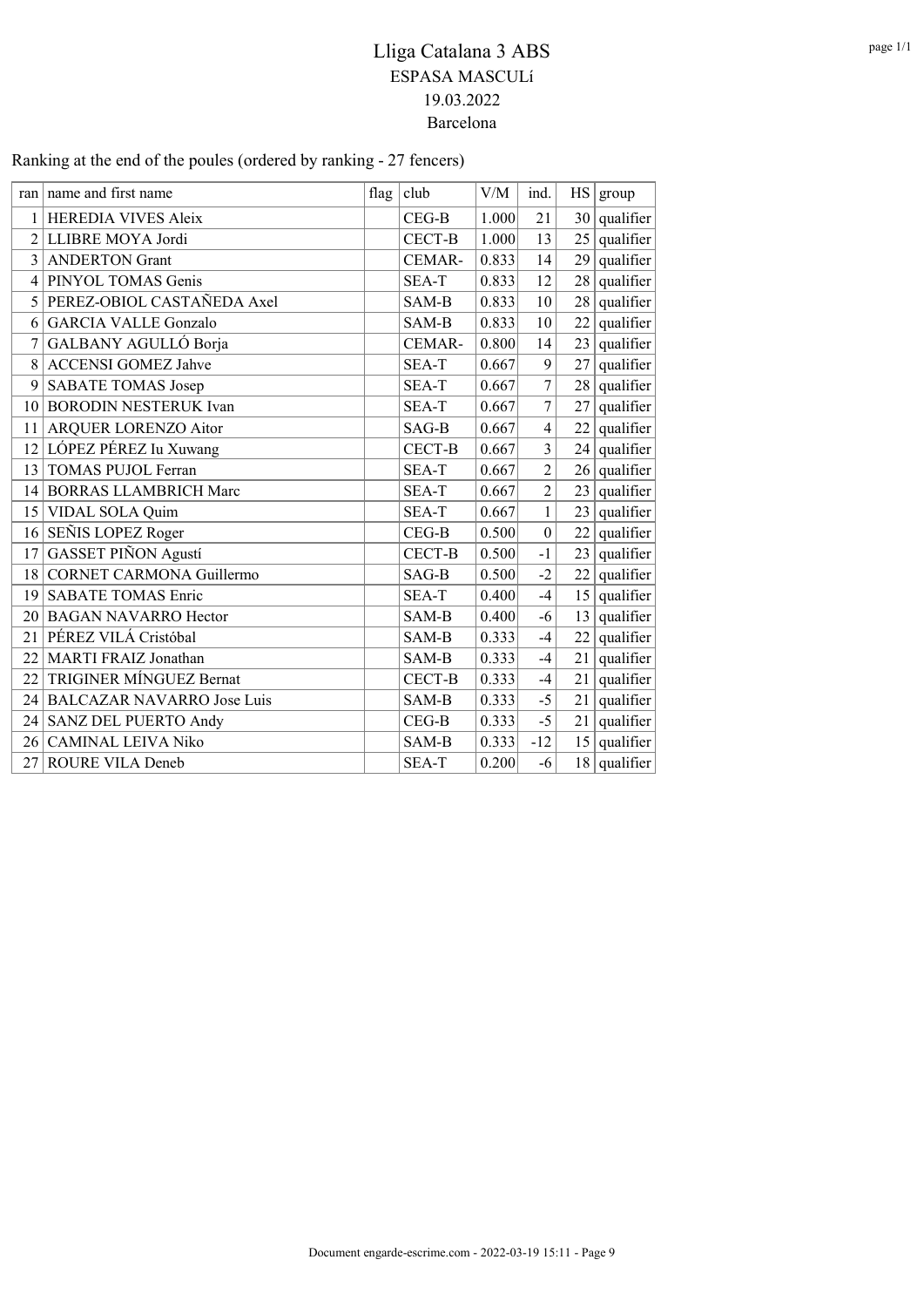| Ranking at the end of the poules (ordered by ranking - 27 fencers) |  |  |
|--------------------------------------------------------------------|--|--|
|--------------------------------------------------------------------|--|--|

|                | ran   name and first name         | flag | club    | V/M   | ind.                    | HS | group             |
|----------------|-----------------------------------|------|---------|-------|-------------------------|----|-------------------|
| 1              | HEREDIA VIVES Aleix               |      | $CEG-B$ | 1.000 | 21                      |    | $30$   qualifier  |
| $\overline{2}$ | LLIBRE MOYA Jordi                 |      | CECT-B  | 1.000 | 13                      |    | $25$ qualifier    |
| 3              | <b>ANDERTON Grant</b>             |      | CEMAR-  | 0.833 | 14                      | 29 | $ $ qualifier $ $ |
| 4              | PINYOL TOMAS Genis                |      | SEA-T   | 0.833 | 12                      |    | $28$ qualifier    |
| 5              | PEREZ-OBIOL CASTAÑEDA Axel        |      | SAM-B   | 0.833 | 10                      |    | $28$ qualifier    |
| 6              | <b>GARCIA VALLE Gonzalo</b>       |      | SAM-B   | 0.833 | 10                      | 22 | qualifier         |
| 7              | GALBANY AGULLÓ Borja              |      | CEMAR-  | 0.800 | 14                      |    | $23$ qualifier    |
| 8              | <b>ACCENSI GOMEZ Jahve</b>        |      | SEA-T   | 0.667 | 9                       | 27 | $ $ qualifier $ $ |
| 9              | SABATE TOMAS Josep                |      | SEA-T   | 0.667 | 7                       |    | $28$ qualifier    |
| 10             | <b>BORODIN NESTERUK Ivan</b>      |      | SEA-T   | 0.667 | $\overline{7}$          | 27 | qualifier         |
| 11             | <b>ARQUER LORENZO Aitor</b>       |      | SAG-B   | 0.667 | $\overline{4}$          |    | $22$ qualifier    |
| 12             | LÓPEZ PÉREZ Iu Xuwang             |      | CECT-B  | 0.667 | $\overline{\mathbf{3}}$ |    | $24$ qualifier    |
| 13             | <b>TOMAS PUJOL Ferran</b>         |      | SEA-T   | 0.667 | $\overline{2}$          |    | $26$ qualifier    |
| 14             | <b>BORRAS LLAMBRICH Marc</b>      |      | SEA-T   | 0.667 | $\overline{2}$          |    | $23$ qualifier    |
| 15             | VIDAL SOLA Quim                   |      | SEA-T   | 0.667 | $\mathbf{1}$            |    | $23$ qualifier    |
| 16             | SEÑIS LOPEZ Roger                 |      | $CEG-B$ | 0.500 | $\boldsymbol{0}$        | 22 | qualifier         |
| 17             | GASSET PIÑON Agustí               |      | CECT-B  | 0.500 | $-1$                    |    | $23$ qualifier    |
| 18             | <b>CORNET CARMONA Guillermo</b>   |      | SAG-B   | 0.500 | $-2$                    |    | $22$ qualifier    |
| 19             | <b>SABATE TOMAS Enric</b>         |      | SEA-T   | 0.400 | $-4$                    | 15 | $ $ qualifier $ $ |
| 20             | <b>BAGAN NAVARRO Hector</b>       |      | SAM-B   | 0.400 | $-6$                    | 13 | $ $ qualifier $ $ |
| 21             | PÉREZ VILÁ Cristóbal              |      | SAM-B   | 0.333 | $-4$                    | 22 | $ $ qualifier $ $ |
| 22             | MARTI FRAIZ Jonathan              |      | SAM-B   | 0.333 | $-4$                    | 21 | qualifier         |
| 22             | TRIGINER MÍNGUEZ Bernat           |      | CECT-B  | 0.333 | $-4$                    |    | $21$ qualifier    |
| 24             | <b>BALCAZAR NAVARRO Jose Luis</b> |      | SAM-B   | 0.333 | $-5$                    | 21 | qualifier         |
| 24             | SANZ DEL PUERTO Andy              |      | $CEG-B$ | 0.333 | $-5$                    | 21 | qualifier         |
| 26             | <b>CAMINAL LEIVA Niko</b>         |      | SAM-B   | 0.333 | $-12$                   |    | $15$ qualifier    |
| 27             | ROURE VILA Deneb                  |      | SEA-T   | 0.200 | $-6$                    |    | $18$ qualifier    |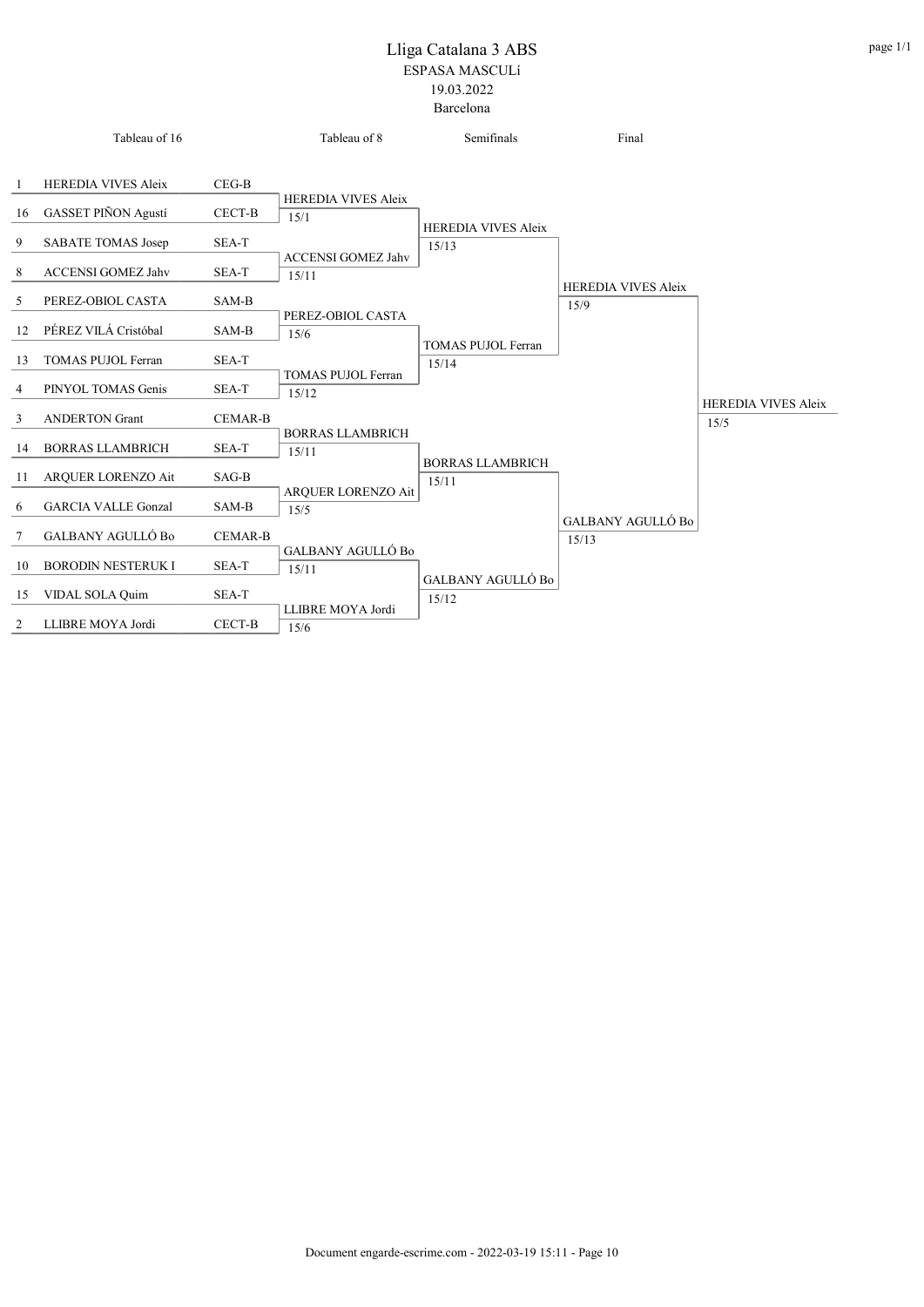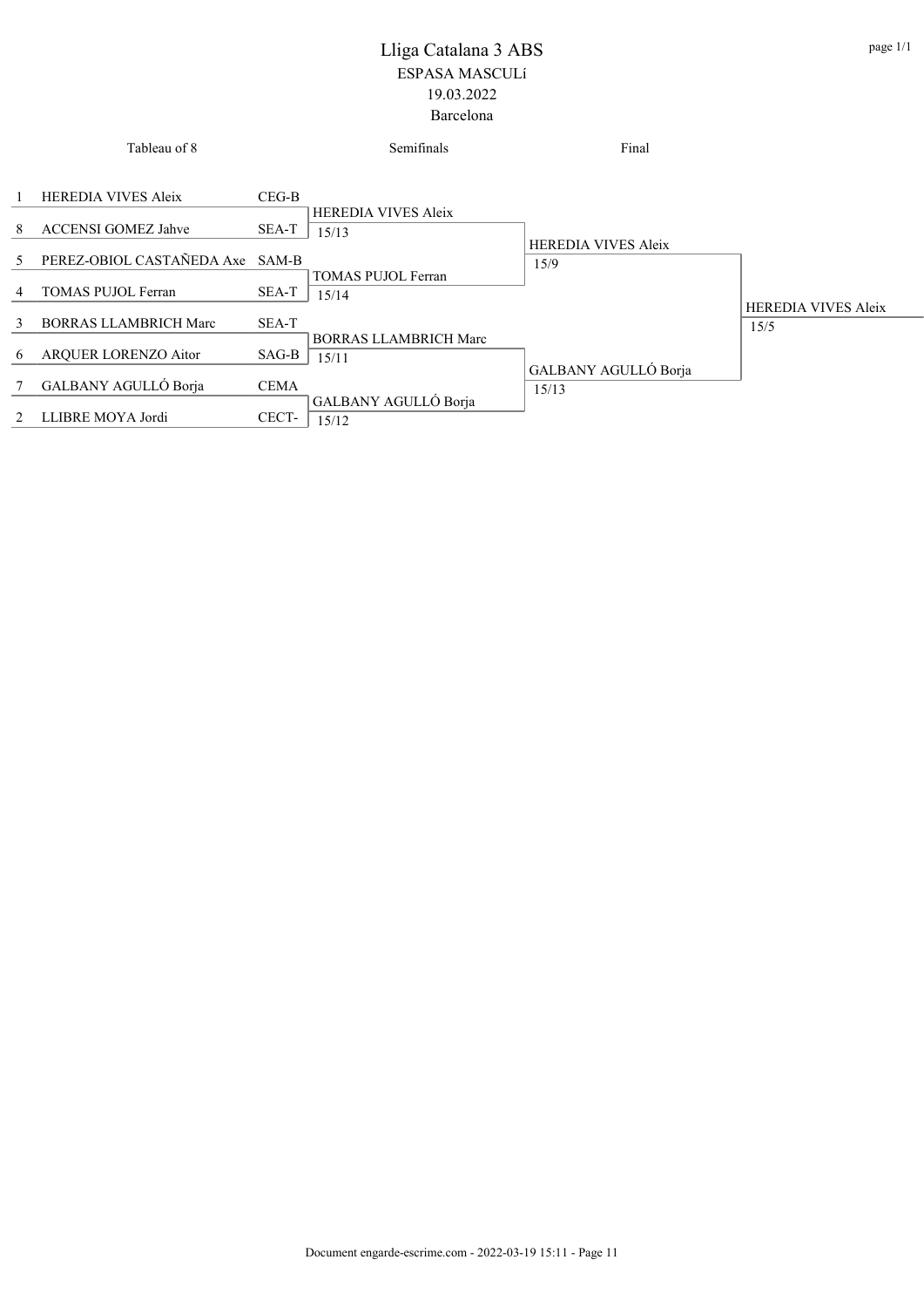|               | Tableau of 8                    |             | Semifinals                          | Final                      |                            |
|---------------|---------------------------------|-------------|-------------------------------------|----------------------------|----------------------------|
|               | <b>HEREDIA VIVES Aleix</b>      | $CEG-B$     |                                     |                            |                            |
| 8             | <b>ACCENSI GOMEZ Jahve</b>      | SEA-T       | <b>HEREDIA VIVES Aleix</b><br>15/13 | <b>HEREDIA VIVES Aleix</b> |                            |
| 5.            | PEREZ-OBIOL CASTAÑEDA Axe SAM-B |             | TOMAS PUJOL Ferran                  | 15/9                       |                            |
| 4             | <b>TOMAS PUJOL Ferran</b>       | SEA-T       | 15/14                               |                            | <b>HEREDIA VIVES Aleix</b> |
| $\mathcal{E}$ | <b>BORRAS LLAMBRICH Marc</b>    | SEA-T       | <b>BORRAS LLAMBRICH Marc</b>        |                            | 15/5                       |
| 6             | AROUER LORENZO Aitor            | SAG-B       | 15/11                               | GALBANY AGULLÓ Borja       |                            |
|               | GALBANY AGULLÓ Borja            | <b>CEMA</b> | GALBANY AGULLÓ Borja                | 15/13                      |                            |
| 2             | LLIBRE MOYA Jordi               | CECT-       | 15/12                               |                            |                            |